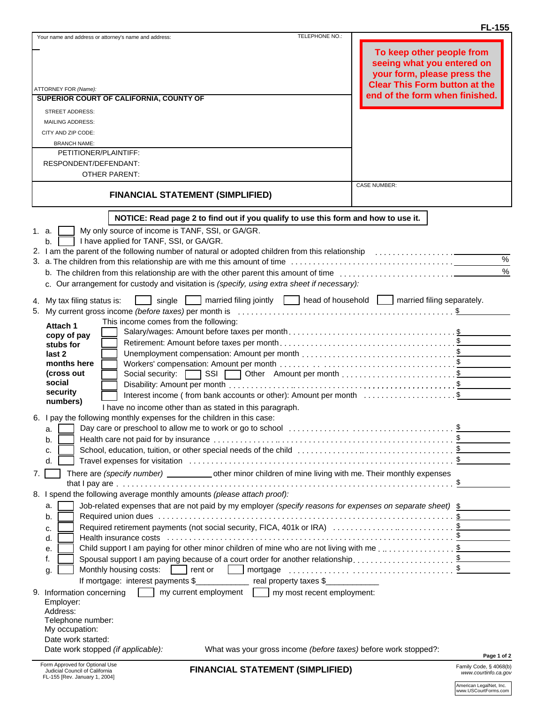|    |                                                                                                                                      | <b>FL-155</b>                                  |
|----|--------------------------------------------------------------------------------------------------------------------------------------|------------------------------------------------|
|    | TELEPHONE NO.:<br>Your name and address or attorney's name and address:                                                              |                                                |
|    |                                                                                                                                      | To keep other people from                      |
|    |                                                                                                                                      | seeing what you entered on                     |
|    |                                                                                                                                      | your form, please press the                    |
|    | ATTORNEY FOR (Name):                                                                                                                 | <b>Clear This Form button at the</b>           |
|    | SUPERIOR COURT OF CALIFORNIA, COUNTY OF                                                                                              | end of the form when finished.                 |
|    | <b>STREET ADDRESS:</b>                                                                                                               |                                                |
|    | <b>MAILING ADDRESS:</b>                                                                                                              |                                                |
|    | CITY AND ZIP CODE:                                                                                                                   |                                                |
|    | <b>BRANCH NAME:</b>                                                                                                                  |                                                |
|    | PETITIONER/PLAINTIFF:                                                                                                                |                                                |
|    | RESPONDENT/DEFENDANT:                                                                                                                |                                                |
|    | <b>OTHER PARENT:</b>                                                                                                                 |                                                |
|    | <b>FINANCIAL STATEMENT (SIMPLIFIED)</b>                                                                                              | <b>CASE NUMBER:</b>                            |
|    | NOTICE: Read page 2 to find out if you qualify to use this form and how to use it.                                                   |                                                |
|    | My only source of income is TANF, SSI, or GA/GR.<br>1. a.                                                                            |                                                |
|    | I have applied for TANF, SSI, or GA/GR.<br>b.                                                                                        |                                                |
|    |                                                                                                                                      |                                                |
|    |                                                                                                                                      | $\overline{\%}$                                |
|    |                                                                                                                                      | $\%$                                           |
|    | c. Our arrangement for custody and visitation is (specify, using extra sheet if necessary):                                          |                                                |
|    | single $\Box$ married filing jointly $\Box$ head of household $\Box$ married filing separately.<br>4. My tax filing status is:       |                                                |
|    | 5. My current gross income (before taxes) per month is                                                                               |                                                |
|    | This income comes from the following:                                                                                                |                                                |
|    | Attach 1                                                                                                                             |                                                |
|    | copy of pay<br>stubs for                                                                                                             |                                                |
|    | last 2                                                                                                                               |                                                |
|    | months here                                                                                                                          |                                                |
|    | (cross out                                                                                                                           |                                                |
|    | social                                                                                                                               |                                                |
|    | security<br>Interest income (from bank accounts or other): Amount per month \$<br>numbers)                                           |                                                |
|    | I have no income other than as stated in this paragraph.                                                                             |                                                |
|    | 6. I pay the following monthly expenses for the children in this case:                                                               |                                                |
|    | a.                                                                                                                                   |                                                |
|    | b.                                                                                                                                   |                                                |
|    | c.                                                                                                                                   |                                                |
|    | d.                                                                                                                                   |                                                |
| 7. | There are (specify number) _______________ other minor children of mine living with me. Their monthly expenses                       |                                                |
|    |                                                                                                                                      |                                                |
|    | 8. I spend the following average monthly amounts (please attach proof):                                                              |                                                |
|    | Job-related expenses that are not paid by my employer (specify reasons for expenses on separate sheet) \$<br>a.                      |                                                |
|    | b.                                                                                                                                   |                                                |
|    | c.                                                                                                                                   |                                                |
|    | d.                                                                                                                                   |                                                |
|    | е<br>Spousal support I am paying because of a court order for another relationship\$<br>t.                                           |                                                |
|    | Monthly housing costs: $\Box$ rent or $\Box$ mortgage $\ldots \ldots \ldots \ldots \ldots \ldots \ldots \ldots \ldots \ldots \ldots$ |                                                |
|    | g.<br>If mortgage: interest payments \$_____________ real property taxes \$____________                                              |                                                |
|    | 9. Information concerning my current employment my most recent employment:                                                           |                                                |
|    | Employer:                                                                                                                            |                                                |
|    | Address:                                                                                                                             |                                                |
|    | Telephone number:                                                                                                                    |                                                |
|    | My occupation:                                                                                                                       |                                                |
|    | Date work started:                                                                                                                   |                                                |
|    | Date work stopped (if applicable):<br>What was your gross income (before taxes) before work stopped?:                                | Page 1 of 2                                    |
|    | Form Approved for Optional Use<br><b>FINANCIAL STATEMENT (SIMPLIFIED)</b><br>Judicial Council of California                          | Family Code, § 4068(b)<br>www.courtinfo.ca.gov |